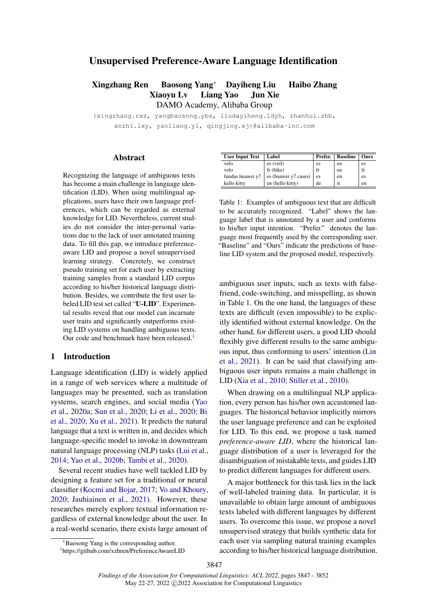# <span id="page-0-0"></span>Unsupervised Preference-Aware Language Identification

Xingzhang Ren Baosong Yan[g](#page-0-0)<sup>∗</sup> Dayiheng Liu Haibo Zhang Xiaoyu Lv Liang Yao Jun Xie DAMO Academy, Alibaba Group

{xingzhang.rxz, yangbaosong.ybs, liudayiheng.ldyh, zhanhui.zhb, anzhi.lxy, yaoliang.yl, qingjing.xj}@alibaba-inc.com

#### Abstract

Recognizing the language of ambiguous texts has become a main challenge in language identification (LID). When using multilingual applications, users have their own language preferences, which can be regarded as external knowledge for LID. Nevertheless, current studies do not consider the inter-personal variations due to the lack of user annotated training data. To fill this gap, we introduce preferenceaware LID and propose a novel unsupervised learning strategy. Concretely, we construct pseudo training set for each user by extracting training samples from a standard LID corpus according to his/her historical language distribution. Besides, we contribute the first user labeled LID test set called "U-LID". Experimental results reveal that our model can incarnate user traits and significantly outperforms existing LID systems on handling ambiguous texts. Our code and benchmark have been released.<sup>[1](#page-0-1)</sup>

# 1 Introduction

Language identification (LID) is widely applied in a range of web services where a multitude of languages may be presented, such as translation systems, search engines, and social media [\(Yao](#page-5-0) [et al.,](#page-5-0) [2020a;](#page-5-0) [Sun et al.,](#page-5-1) [2020;](#page-5-1) [Li et al.,](#page-4-0) [2020;](#page-4-0) [Bi](#page-4-1) [et al.,](#page-4-1) [2020;](#page-4-1) [Xu et al.,](#page-5-2) [2021\)](#page-5-2). It predicts the natural language that a text is written in, and decides which language-specific model to invoke in downstream natural language processing (NLP) tasks [\(Lui et al.,](#page-4-2) [2014;](#page-4-2) [Yao et al.,](#page-5-3) [2020b;](#page-5-3) [Tambi et al.,](#page-5-4) [2020\)](#page-5-4).

Several recent studies have well tackled LID by designing a feature set for a traditional or neural classifier [\(Kocmi and Bojar,](#page-4-3) [2017;](#page-4-3) [Vo and Khoury,](#page-5-5) [2020;](#page-5-5) [Jauhiainen et al.,](#page-4-4) [2021\)](#page-4-4). However, these researches merely explore textual information regardless of external knowledge about the user. In a real-world scenario, there exists large amount of

<span id="page-0-2"></span>

| Label | Prefer.                                    | <b>Baseline</b>                     | <b>Ours</b> |
|-------|--------------------------------------------|-------------------------------------|-------------|
|       | es                                         | en                                  | es          |
|       | fr                                         | en                                  | fr          |
|       | es                                         | en                                  | es          |
|       | de                                         | it                                  | en          |
|       | es (veil)<br>fr (bike)<br>en (hello kitty) | $es$ (huawei y7 cases) <sup>1</sup> |             |

Table 1: Examples of ambiguous text that are difficult to be accurately recognized. "Label" shows the language label that is annotated by a user and conforms to his/her input intention. "Prefer." denotes the language most frequently used by the corresponding user. "Baseline" and "Ours" indicate the predictions of baseline LID system and the proposed model, respectively.

ambiguous user inputs, such as texts with falsefriend, code-switching, and misspelling, as shown in Table [1.](#page-0-2) On the one hand, the languages of these texts are difficult (even impossible) to be explicitly identified without external knowledge. On the other hand, for different users, a good LID should flexibly give different results to the same ambiguous input, thus conforming to users' intention [\(Lin](#page-4-5) [et al.,](#page-4-5) [2021\)](#page-4-5). It can be said that classifying ambiguous user inputs remains a main challenge in LID [\(Xia et al.,](#page-5-6) [2010;](#page-5-6) [Stiller et al.,](#page-5-7) [2010\)](#page-5-7).

When drawing on a multilingual NLP application, every person has his/her own accustomed languages. The historical behavior implicitly mirrors the user language preference and can be exploited for LID. To this end, we propose a task named *preference-aware LID*, where the historical language distribution of a user is leveraged for the disambiguation of mistakable texts, and guides LID to predict different languages for different users.

A major bottleneck for this task lies in the lack of well-labeled training data. In particular, it is unavailable to obtain large amount of ambiguous texts labeled with different languages by different users. To overcome this issue, we propose a novel unsupervised strategy that builds synthetic data for each user via sampling natural training examples according to his/her historical language distribution.

<sup>∗</sup>Baosong Yang is the corresponding author.

<span id="page-0-1"></span><sup>1</sup> https://github.com/xzhren/PreferenceAwareLID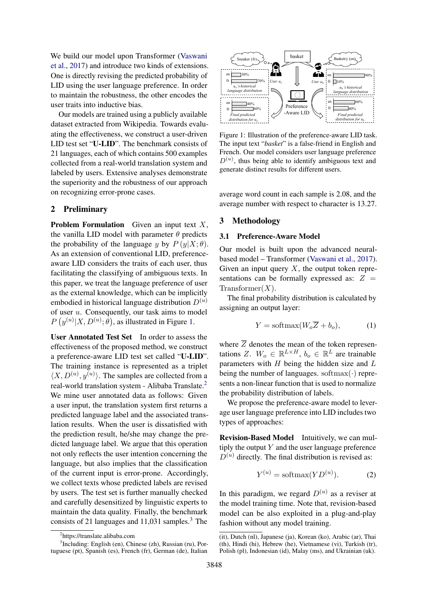We build our model upon Transformer [\(Vaswani](#page-5-8) [et al.,](#page-5-8) [2017\)](#page-5-8) and introduce two kinds of extensions. One is directly revising the predicted probability of LID using the user language preference. In order to maintain the robustness, the other encodes the user traits into inductive bias.

Our models are trained using a publicly available dataset extracted from Wikipedia. Towards evaluating the effectiveness, we construct a user-driven LID test set "U-LID". The benchmark consists of 21 languages, each of which contains 500 examples collected from a real-world translation system and labeled by users. Extensive analyses demonstrate the superiority and the robustness of our approach on recognizing error-prone cases.

# 2 Preliminary

**Problem Formulation** Given an input text  $X$ , the vanilla LID model with parameter  $\theta$  predicts the probability of the language y by  $P(y|X;\theta)$ . As an extension of conventional LID, preferenceaware LID considers the traits of each user, thus facilitating the classifying of ambiguous texts. In this paper, we treat the language preference of user as the external knowledge, which can be implicitly embodied in historical language distribution  $D^{(u)}$ of user u. Consequently, our task aims to model  $P(y^{(u)}|X, D^{(u)}; \theta)$ , as illustrated in Figure [1.](#page-1-0)

User Annotated Test Set In order to assess the effectiveness of the proposed method, we construct a preference-aware LID test set called "U-LID". The training instance is represented as a triplet  $\langle X, D^{(u)}, y^{(u)} \rangle$ . The samples are collected from a real-world translation system - Alibaba Translate.[2](#page-1-1) We mine user annotated data as follows: Given a user input, the translation system first returns a predicted language label and the associated translation results. When the user is dissatisfied with the prediction result, he/she may change the predicted language label. We argue that this operation not only reflects the user intention concerning the language, but also implies that the classification of the current input is error-prone. Accordingly, we collect texts whose predicted labels are revised by users. The test set is further manually checked and carefully desensitized by linguistic experts to maintain the data quality. Finally, the benchmark consists of 21 languages and  $11,031$  $11,031$  $11,031$  samples.<sup>3</sup> The

<span id="page-1-0"></span>

Figure 1: Illustration of the preference-aware LID task. The input text "*basket*" is a false-friend in English and French. Our model considers user language preference  $D^{(u)}$ , thus being able to identify ambiguous text and generate distinct results for different users.

average word count in each sample is 2.08, and the average number with respect to character is 13.27.

#### 3 Methodology

### 3.1 Preference-Aware Model

Our model is built upon the advanced neuralbased model – Transformer [\(Vaswani et al.,](#page-5-8) [2017\)](#page-5-8). Given an input query  $X$ , the output token representations can be formally expressed as:  $Z =$  $Transformer(X)$ .

The final probability distribution is calculated by assigning an output layer:

<span id="page-1-3"></span>
$$
Y = \text{softmax}(W_o \overline{Z} + b_o), \tag{1}
$$

where  $\overline{Z}$  denotes the mean of the token representations Z.  $W_0 \in \mathbb{R}^{L \times H}$ ,  $b_0 \in \mathbb{R}^L$  are trainable parameters with  $H$  being the hidden size and  $L$ being the number of languages. softmax $(\cdot)$  represents a non-linear function that is used to normalize the probability distribution of labels.

We propose the preference-aware model to leverage user language preference into LID includes two types of approaches:

Revision-Based Model Intuitively, we can multiply the output  $Y$  and the user language preference  $D^{(u)}$  directly. The final distribution is revised as:

$$
Y^{(u)} = \text{softmax}(YD^{(u)}). \tag{2}
$$

In this paradigm, we regard  $D^{(u)}$  as a reviser at the model training time. Note that, revision-based model can be also exploited in a plug-and-play fashion without any model training.

<span id="page-1-2"></span><span id="page-1-1"></span><sup>2</sup> https://translate.alibaba.com

<sup>3</sup> Including: English (en), Chinese (zh), Russian (ru), Portuguese (pt), Spanish (es), French (fr), German (de), Italian

<sup>(</sup>it), Dutch (nl), Japanese (ja), Korean (ko), Arabic (ar), Thai (th), Hindi (hi), Hebrew (he), Vietnamese (vi), Turkish (tr), Polish (pl), Indonesian (id), Malay (ms), and Ukrainian (uk).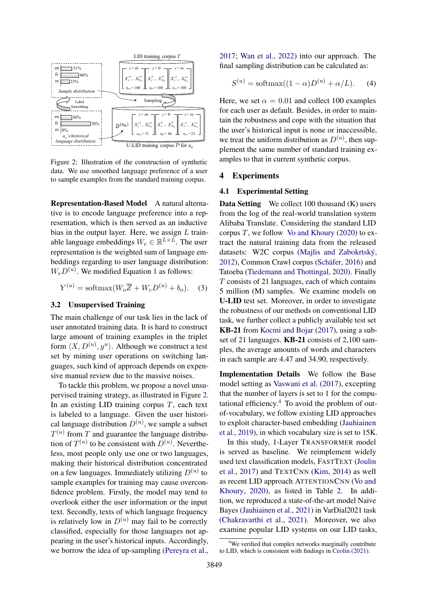<span id="page-2-0"></span>

Figure 2: Illustration of the construction of synthetic data. We use smoothed language preference of a user to sample examples from the standard training corpus.

Representation-Based Model A natural alternative is to encode language preference into a representation, which is then served as an inductive bias in the output layer. Here, we assign  $L$  trainable language embeddings  $W_e \in \mathbb{R}^{L \times L}$ . The user representation is the weighted sum of language embeddings regarding to user language distribution:  $W_eD^{(u)}$ . We modified Equation [1](#page-1-3) as follows:

$$
Y^{(u)} = \text{softmax}(W_o \overline{Z} + W_e D^{(u)} + b_o). \quad (3)
$$

# 3.2 Unsupervised Training

The main challenge of our task lies in the lack of user annotated training data. It is hard to construct large amount of training examples in the triplet form  $\langle X, D^{(u)}, y^u \rangle$ . Although we construct a test set by mining user operations on switching languages, such kind of approach depends on expensive manual review due to the massive noises.

To tackle this problem, we propose a novel unsupervised training strategy, as illustrated in Figure [2.](#page-2-0) In an existing LID training corpus  $T$ , each text is labeled to a language. Given the user historical language distribution  $D^{(u)}$ , we sample a subset  $T^{(u)}$  from T and guarantee the language distribution of  $T^{(u)}$  to be consistent with  $D^{(u)}$ . Nevertheless, most people only use one or two languages, making their historical distribution concentrated on a few languages. Immediately utilizing  $D^{(u)}$  to sample examples for training may cause overconfidence problem. Firstly, the model may tend to overlook either the user information or the input text. Secondly, texts of which language frequency is relatively low in  $D^{(u)}$  may fail to be correctly classified, especially for those languages not appearing in the user's historical inputs. Accordingly, we borrow the idea of up-sampling [\(Pereyra et al.,](#page-5-9)

[2017;](#page-5-9) [Wan et al.,](#page-5-10) [2022\)](#page-5-10) into our approach. The final sampling distribution can be calculated as:

$$
S^{(u)} = \text{softmax}((1 - \alpha)D^{(u)} + \alpha/L).
$$
 (4)

Here, we set  $\alpha = 0.01$  and collect 100 examples for each user as default. Besides, in order to maintain the robustness and cope with the situation that the user's historical input is none or inaccessible, we treat the uniform distribution as  $D^{(u)}$ , then supplement the same number of standard training examples to that in current synthetic corpus.

## 4 Experiments

#### 4.1 Experimental Setting

Data Setting We collect 100 thousand (K) users from the log of the real-world translation system Alibaba Translate. Considering the standard LID corpus  $T$ , we follow [Vo and Khoury](#page-5-5) [\(2020\)](#page-5-5) to extract the natural training data from the released datasets: W2C corpus [\(Majlis and Zabokrtský,](#page-4-6) [2012\)](#page-4-6), Common Crawl corpus [\(Schäfer,](#page-5-11) [2016\)](#page-5-11) and Tatoeba [\(Tiedemann and Thottingal,](#page-5-12) [2020\)](#page-5-12). Finally T consists of 21 languages, each of which contains 5 million (M) samples. We examine models on U-LID test set. Moreover, in order to investigate the robustness of our methods on conventional LID task, we further collect a publicly available test set KB-21 from [Kocmi and Bojar](#page-4-3) [\(2017\)](#page-4-3), using a subset of 21 languages. KB-21 consists of 2,100 samples, the average amounts of words and characters in each sample are 4.47 and 34.90, respectively.

Implementation Details We follow the Base model setting as [Vaswani et al.](#page-5-8) [\(2017\)](#page-5-8), excepting that the number of layers is set to 1 for the computational efficiency. $4$  To avoid the problem of outof-vocabulary, we follow existing LID approaches to exploit character-based embedding [\(Jauhiainen](#page-4-7) [et al.,](#page-4-7) [2019\)](#page-4-7), in which vocabulary size is set to 15K.

In this study, 1-Layer TRANSFORMER model is served as baseline. We reimplement widely used text classification models, FASTTEXT [\(Joulin](#page-4-8) [et al.,](#page-4-8) [2017\)](#page-4-8) and TEXTCNN [\(Kim,](#page-4-9) [2014\)](#page-4-9) as well as recent LID approach ATTENTIONCNN [\(Vo and](#page-5-5) [Khoury,](#page-5-5) [2020\)](#page-5-5), as listed in Table [2.](#page-3-0) In addition, we reproduced a state-of-the-art model Naive Bayes [\(Jauhiainen et al.,](#page-4-4) [2021\)](#page-4-4) in VarDial2021 task [\(Chakravarthi et al.,](#page-4-10) [2021\)](#page-4-10). Moreover, we also examine popular LID systems on our LID tasks,

<span id="page-2-1"></span><sup>&</sup>lt;sup>4</sup>We verified that complex networks marginally contribute to LID, which is consistent with findings in [Ceolin](#page-4-11) [\(2021\)](#page-4-11).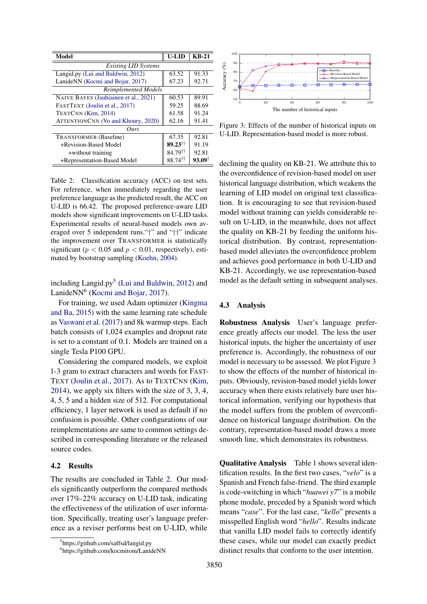<span id="page-3-0"></span>

| Model                                 | <b>U-LID</b>          | $KB-21$           |  |  |
|---------------------------------------|-----------------------|-------------------|--|--|
| <b>Existing LID Systems</b>           |                       |                   |  |  |
| Langid.py (Lui and Baldwin, 2012)     | 63.52                 | 91.33             |  |  |
| LanideNN (Kocmi and Bojar, 2017)      | 67.23                 | 92.71             |  |  |
| <b>Reimplemented Models</b>           |                       |                   |  |  |
| NAIVE BAYES (Jauhiainen et al., 2021) | 60.53                 | 89.91             |  |  |
| FASTTEXT (Joulin et al., 2017)        | 59.25                 | 88.69             |  |  |
| TEXTCNN (Kim, 2014)                   | 61.58                 | 91.24             |  |  |
| ATTENTIONCNN (Vo and Khoury, 2020)    | 62.16                 | 91.41             |  |  |
| Ours                                  |                       |                   |  |  |
| <b>TRANSFORMER</b> (Baseline)         | 67.35                 | 92.81             |  |  |
| +Revision-Based Model                 | $89.23$ <sup>††</sup> | 91.19             |  |  |
| +without training                     | 84.79 <sup>tt</sup>   | 92.81             |  |  |
| +Representation-Based Model           | 88.74 <sup>11</sup>   | $93.09^{\dagger}$ |  |  |

Table 2: Classification accuracy (ACC) on test sets. For reference, when immediately regarding the user preference language as the predicted result, the ACC on U-LID is 66.42. The proposed preference-aware LID models show significant improvements on U-LID tasks. Experimental results of neural-based models own averaged over 5 independent runs."†" and "††" indicate the improvement over TRANSFORMER is statistically significant ( $p < 0.05$  and  $p < 0.01$ , respectively), estimated by bootstrap sampling [\(Koehn,](#page-4-13) [2004\)](#page-4-13).

including Langid.py<sup>[5](#page-3-1)</sup> [\(Lui and Baldwin,](#page-4-12) [2012\)](#page-4-12) and LanideNN<sup>[6](#page-3-2)</sup> [\(Kocmi and Bojar,](#page-4-3) [2017\)](#page-4-3).

For training, we used Adam optimizer [\(Kingma](#page-4-14) [and Ba,](#page-4-14) [2015\)](#page-4-14) with the same learning rate schedule as [Vaswani et al.](#page-5-8) [\(2017\)](#page-5-8) and 8k warmup steps. Each batch consists of 1,024 examples and dropout rate is set to a constant of 0.1. Models are trained on a single Tesla P100 GPU.

Considering the compared models, we exploit 1-3 gram to extract characters and words for FAST-TEXT [\(Joulin et al.,](#page-4-8) [2017\)](#page-4-8). As to TEXTCNN [\(Kim,](#page-4-9) [2014\)](#page-4-9), we apply six filters with the size of 3, 3, 4, 4, 5, 5 and a hidden size of 512. For computational efficiency, 1 layer network is used as default if no confusion is possible. Other configurations of our reimplementations are same to common settings described in corresponding literature or the released source codes.

# 4.2 Results

The results are concluded in Table [2.](#page-3-0) Our models significantly outperform the compared methods over 17%-22% accuracy on U-LID task, indicating the effectiveness of the utilization of user information. Specifically, treating user's language preference as a reviser performs best on U-LID, while

<span id="page-3-3"></span>

Figure 3: Effects of the number of historical inputs on U-LID. Representation-based model is more robust.

declining the quality on KB-21. We attribute this to the overconfidence of revision-based model on user historical language distribution, which weakens the learning of LID model on original text classification. It is encouraging to see that revision-based model without training can yields considerable result on U-LID, in the meanwhile, does not affect the quality on KB-21 by feeding the uniform historical distribution. By contrast, representationbased model alleviates the overconfidence problem and achieves good performance in both U-LID and KB-21. Accordingly, we use representation-based model as the default setting in subsequent analyses.

#### 4.3 Analysis

Robustness Analysis User's language preference greatly affects our model. The less the user historical inputs, the higher the uncertainty of user preference is. Accordingly, the robustness of our model is necessary to be assessed. We plot Figure [3](#page-3-3) to show the effects of the number of historical inputs. Obviously, revision-based model yields lower accuracy when there exists relatively bare user historical information, verifying our hypothesis that the model suffers from the problem of overconfidence on historical language distribution. On the contrary, representation-based model draws a more smooth line, which demonstrates its robustness.

Qualitative Analysis Table [1](#page-0-2) shows several identification results. In the first two cases, "*velo*" is a Spanish and French false-friend. The third example is code-switching in which "*huawei y7*" is a mobile phone module, preceded by a Spanish word which means "*case*". For the last case, "*kello*" presents a misspelled English word "*hello*". Results indicate that vanilla LID model fails to correctly identify these cases, while our model can exactly predict distinct results that conform to the user intention.

<span id="page-3-1"></span><sup>5</sup> https://github.com/saffsd/langid.py

<span id="page-3-2"></span><sup>6</sup> https://github.com/kocmitom/LanideNN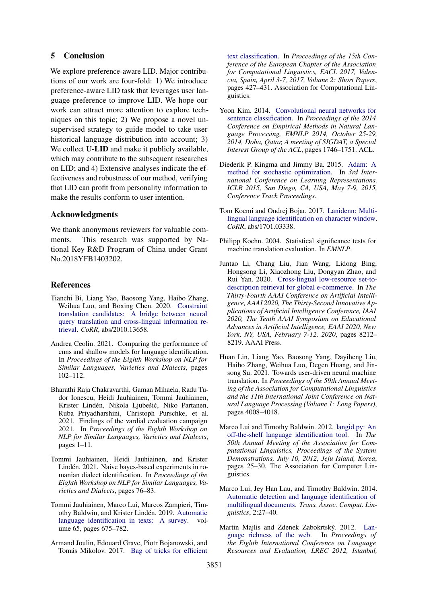# 5 Conclusion

We explore preference-aware LID. Major contributions of our work are four-fold: 1) We introduce preference-aware LID task that leverages user language preference to improve LID. We hope our work can attract more attention to explore techniques on this topic; 2) We propose a novel unsupervised strategy to guide model to take user historical language distribution into account; 3) We collect **U-LID** and make it publicly available, which may contribute to the subsequent researches on LID; and 4) Extensive analyses indicate the effectiveness and robustness of our method, verifying that LID can profit from personality information to make the results conform to user intention.

### Acknowledgments

We thank anonymous reviewers for valuable comments. This research was supported by National Key R&D Program of China under Grant No.2018YFB1403202.

#### References

- <span id="page-4-1"></span>Tianchi Bi, Liang Yao, Baosong Yang, Haibo Zhang, Weihua Luo, and Boxing Chen. 2020. [Constraint](http://arxiv.org/abs/2010.13658) [translation candidates: A bridge between neural](http://arxiv.org/abs/2010.13658) [query translation and cross-lingual information re](http://arxiv.org/abs/2010.13658)[trieval.](http://arxiv.org/abs/2010.13658) *CoRR*, abs/2010.13658.
- <span id="page-4-11"></span>Andrea Ceolin. 2021. Comparing the performance of cnns and shallow models for language identification. In *Proceedings of the Eighth Workshop on NLP for Similar Languages, Varieties and Dialects*, pages 102–112.
- <span id="page-4-10"></span>Bharathi Raja Chakravarthi, Gaman Mihaela, Radu Tudor Ionescu, Heidi Jauhiainen, Tommi Jauhiainen, Krister Lindén, Nikola Ljubešić, Niko Partanen, Ruba Priyadharshini, Christoph Purschke, et al. 2021. Findings of the vardial evaluation campaign 2021. In *Proceedings of the Eighth Workshop on NLP for Similar Languages, Varieties and Dialects*, pages 1–11.
- <span id="page-4-4"></span>Tommi Jauhiainen, Heidi Jauhiainen, and Krister Lindén. 2021. Naive bayes-based experiments in romanian dialect identification. In *Proceedings of the Eighth Workshop on NLP for Similar Languages, Varieties and Dialects*, pages 76–83.
- <span id="page-4-7"></span>Tommi Jauhiainen, Marco Lui, Marcos Zampieri, Timothy Baldwin, and Krister Lindén. 2019. [Automatic](https://doi.org/10.1613/jair.1.11675) [language identification in texts: A survey.](https://doi.org/10.1613/jair.1.11675) volume 65, pages 675–782.
- <span id="page-4-8"></span>Armand Joulin, Edouard Grave, Piotr Bojanowski, and Tomás Mikolov. 2017. [Bag of tricks for efficient](https://doi.org/10.18653/v1/e17-2068)

[text classification.](https://doi.org/10.18653/v1/e17-2068) In *Proceedings of the 15th Conference of the European Chapter of the Association for Computational Linguistics, EACL 2017, Valencia, Spain, April 3-7, 2017, Volume 2: Short Papers*, pages 427–431. Association for Computational Linguistics.

- <span id="page-4-9"></span>Yoon Kim. 2014. [Convolutional neural networks for](https://doi.org/10.3115/v1/d14-1181) [sentence classification.](https://doi.org/10.3115/v1/d14-1181) In *Proceedings of the 2014 Conference on Empirical Methods in Natural Language Processing, EMNLP 2014, October 25-29, 2014, Doha, Qatar, A meeting of SIGDAT, a Special Interest Group of the ACL*, pages 1746–1751. ACL.
- <span id="page-4-14"></span>Diederik P. Kingma and Jimmy Ba. 2015. [Adam: A](http://arxiv.org/abs/1412.6980) [method for stochastic optimization.](http://arxiv.org/abs/1412.6980) In *3rd International Conference on Learning Representations, ICLR 2015, San Diego, CA, USA, May 7-9, 2015, Conference Track Proceedings*.
- <span id="page-4-3"></span>Tom Kocmi and Ondrej Bojar. 2017. [Lanidenn: Multi](http://arxiv.org/abs/1701.03338)[lingual language identification on character window.](http://arxiv.org/abs/1701.03338) *CoRR*, abs/1701.03338.
- <span id="page-4-13"></span>Philipp Koehn. 2004. Statistical significance tests for machine translation evaluation. In *EMNLP*.
- <span id="page-4-0"></span>Juntao Li, Chang Liu, Jian Wang, Lidong Bing, Hongsong Li, Xiaozhong Liu, Dongyan Zhao, and Rui Yan. 2020. [Cross-lingual low-resource set-to](https://aaai.org/ojs/index.php/AAAI/article/view/6335)[description retrieval for global e-commerce.](https://aaai.org/ojs/index.php/AAAI/article/view/6335) In *The Thirty-Fourth AAAI Conference on Artificial Intelligence, AAAI 2020, The Thirty-Second Innovative Applications of Artificial Intelligence Conference, IAAI 2020, The Tenth AAAI Symposium on Educational Advances in Artificial Intelligence, EAAI 2020, New York, NY, USA, February 7-12, 2020*, pages 8212– 8219. AAAI Press.
- <span id="page-4-5"></span>Huan Lin, Liang Yao, Baosong Yang, Dayiheng Liu, Haibo Zhang, Weihua Luo, Degen Huang, and Jinsong Su. 2021. Towards user-driven neural machine translation. In *Proceedings of the 59th Annual Meeting of the Association for Computational Linguistics and the 11th International Joint Conference on Natural Language Processing (Volume 1: Long Papers)*, pages 4008–4018.
- <span id="page-4-12"></span>Marco Lui and Timothy Baldwin. 2012. [langid.py: An](https://www.aclweb.org/anthology/P12-3005/) [off-the-shelf language identification tool.](https://www.aclweb.org/anthology/P12-3005/) In *The 50th Annual Meeting of the Association for Computational Linguistics, Proceedings of the System Demonstrations, July 10, 2012, Jeju Island, Korea*, pages 25–30. The Association for Computer Linguistics.
- <span id="page-4-2"></span>Marco Lui, Jey Han Lau, and Timothy Baldwin. 2014. [Automatic detection and language identification of](https://tacl2013.cs.columbia.edu/ojs/index.php/tacl/article/view/86) [multilingual documents.](https://tacl2013.cs.columbia.edu/ojs/index.php/tacl/article/view/86) *Trans. Assoc. Comput. Linguistics*, 2:27–40.
- <span id="page-4-6"></span>Martin Majlis and Zdenek Zabokrtský. 2012. [Lan](http://www.lrec-conf.org/proceedings/lrec2012/summaries/267.html)[guage richness of the web.](http://www.lrec-conf.org/proceedings/lrec2012/summaries/267.html) In *Proceedings of the Eighth International Conference on Language Resources and Evaluation, LREC 2012, Istanbul,*